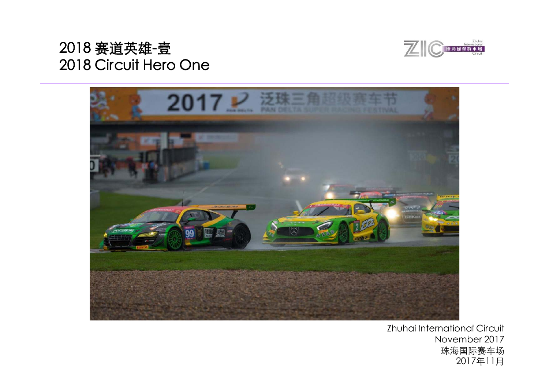



Zhuhai International Circuit November 2017 珠海国际赛车场 2017年11月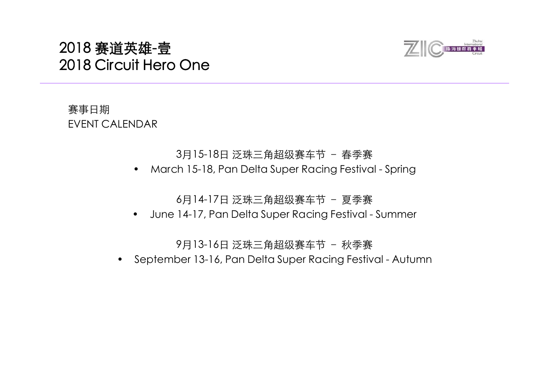

## 赛事日期 EVENT CALENDAR

## 3月15-18日 泛珠三角超级赛车节 - 春季赛

 $\bullet$ March 15-18, Pan Delta Super Racing Festival - Spring

6月14-17日 泛珠三角超级赛车节 – 夏季赛

•June 14-17, Pan Delta Super Racing Festival - Summer

9月13-16日 泛珠三角超级赛车节 – 秋季赛

•September 13-16, Pan Delta Super Racing Festival - Autumn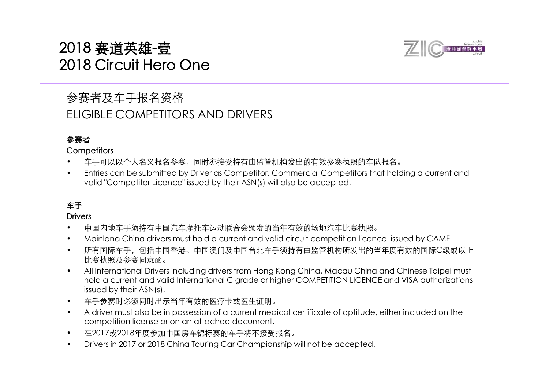## 参赛者及车手报名资格 ELIGIBLE COMPETITORS AND DRIVERS

## 参赛者

#### **Competitors**

- •车手可以以个人名义报名参赛,同时亦接受持有由监管机构发出的有效参赛执照的车队报名。
- • Entries can be submitted by Driver as Competitor. Commercial Competitors that holding a current and valid "Competitor Licence" issued by their ASN(s) will also be accepted.

## 车手

#### **Drivers**

- •中国内地车手须持有中国汽车摩托车运动联合会颁发的当年有效的场地汽车比赛执照。
- •Mainland China drivers must hold a current and valid circuit competition licence issued by CAMF.
- • 所有国际车手,包括中国香港、中国澳门及中国台北车手须持有由监管机构所发出的当年度有效的国际C级或以上 比赛执照及参赛同意函。
- • All International Drivers including drivers from Hong Kong China, Macau China and Chinese Taipei must hold a current and valid International C grade or higher COMPETITION LICENCE and VISA authorizations issued by their ASN(s).
- •车手参赛时必须同时出示当年有效的医疗卡或医生证明。
- • A driver must also be in possession of a current medical certificate of aptitude, either included on the competition license or on an attached document.
- •在2017或2018年度参加中国房车锦标赛的车手将不接受报名。
- •Drivers in 2017 or 2018 China Touring Car Championship will not be accepted.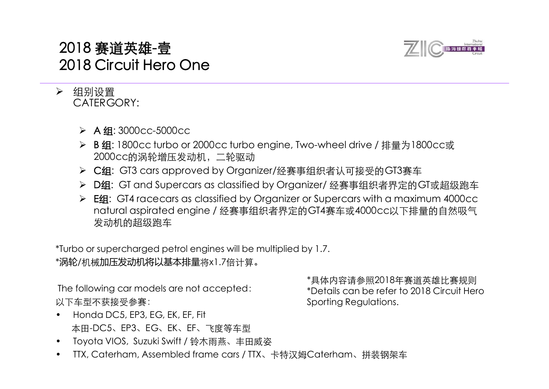

## 组别设置 CATERGORY:

- A 组: 3000cc-5000cc
- **≻ B组: 1800cc turbo or 2000cc turbo engine, Two-wheel drive / 排量为1800cc或** 2000cc的涡轮增压发动机,二轮驱动
- ▶ C组: GT3 cars approved by Organizer/经赛事组织者认可接受的GT3赛车
- ▶ D组: GT and Supercars as classified by Organizer/ 经赛事组织者界定的GT或超级跑车
- **► E组: GT4 racecars as classified by Organizer or Supercars with a maximum 4000cc** natural aspirated engine / 经赛事组织者界定的GT4赛车或4000cc以下排量的自然吸气 发动机的超级跑车

\*Turbo or supercharged petrol engines will be multiplied by 1.7. \*涡轮/机械加压发动机将以基本排量将x1.7倍计算。

The following car models are not accepted: 以下车型不获接受参赛:

- • Honda DC5, EP3, EG, EK, EF, Fit 本田-DC5、EP3、EG、EK、EF、飞度等车型<br>• Toveta VIOS、Suzuki Swift / 铃木雨英 キロ
- Toyota VIOS, Suzuki Swift / 铃木雨燕、丰田威姿
- •TTX, Caterham, Assembled frame cars / TTX、卡特汉姆Caterham、拼装钢架车

\*具体内容请参照2018年赛道英雄比赛规则 具体内容请参照2018年赛道英雄比赛规则\*Details can be refer to 2018 Circuit Hero Sporting Regulations.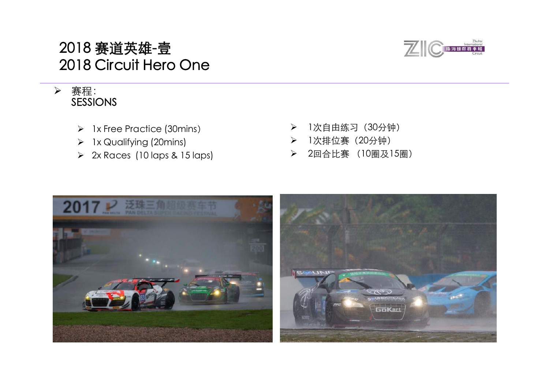

## > 赛程: SESSIONS

- > 1x Free Practice (30mins)
- > 1x Qualifying (20mins)
- 2x Races (10 laps & 15 laps) 2回合比赛 (10圈及15圈)
- $\blacktriangleright$ 1次自由练习 (30分钟)
- $\blacktriangleright$ 1次排位赛(20分钟)
- 

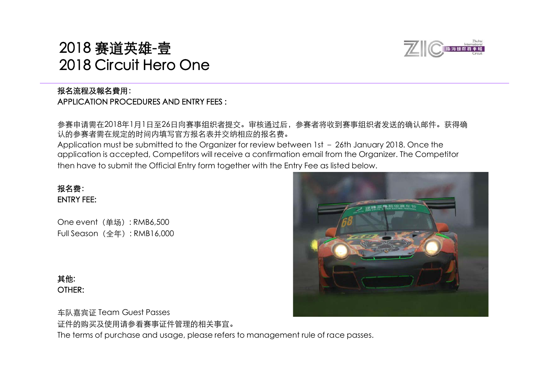## 报名流程及報名費用: APPLICATION PROCEDURES AND ENTRY FEES :

参赛申请需在2018年1月1日至26日向赛事组织者提交。审核通过后,参赛者将收到赛事组织者发送的确认邮件。获得确 认的参赛者需在规定的时间内填写官方报名表并交纳相应的报名费。

Application must be submitted to the Organizer for review between 1st – 26th January 2018. Once the application is accepted, Competitors will receive a confirmation email from the Organizer. The Competitor then have to submit the Official Entry form together with the Entry Fee as listed below.

## 报名费: ENTRY FEE:

One event (单场): RMB6,500 Full Season(全年): RMB16,000

其他: OTHER:

车队嘉宾证 Team Guest Passes 证件的购买及使用请参看赛事证件管理的相关事宜。 The terms of purchase and usage, please refers to management rule of race passes.



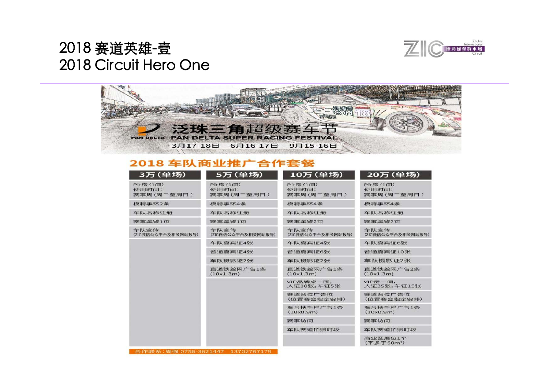



## 2018 车队商业推广合作套餐

| 3万 (单场)                          | 5万(单场)                                 | 10万 (单场)                         | 20万 (单场)                               |
|----------------------------------|----------------------------------------|----------------------------------|----------------------------------------|
| Pit房 (1间)<br>使用时间:<br>赛事周(周二至周日) | <b>Pit房(1间)</b><br>使用时间:<br>赛事周(周二至周日) | Pit房 (1间)<br>使用时间:<br>赛事周(周二至周日) | <b>Pit房(1间)</b><br>使用时间:<br>赛事周(周二至周日) |
| 模特手环2条                           | 模特手环4条                                 | 模特手环4条                           | 模特手环4条                                 |
| 车队名称注册                           | 车队名称注册                                 | 车队名称注册                           | 车队名称注册                                 |
| 赛事年鉴1页                           | 赛事年鉴1页                                 | 赛事年鉴2页                           | 赛事年鉴2页                                 |
| 车队宣传<br>(ZIC微信公众平台及相关网站报导)       | 车队宣传<br>(ZIC微信公众平台及相关网站报导)             | 车队宣传<br>(ZIC微信公众平台及相关网站报导)       | 车队宣传<br>(ZIC微信公众平台及相关网站报导)             |
|                                  | 车队嘉宾证4张                                | 车队嘉宾证4张                          | 车队嘉宾证6张                                |
|                                  | 普通嘉宾证4张                                | 普通嘉宾证6张                          | 普通嘉宾证10张                               |
|                                  | 车队摄影证2张                                | 车队摄影证2张                          | 车队摄影证2张                                |
|                                  | 直道铁丝网广告1条<br>(10x1.3m)                 | 直道铁丝网广告1条<br>(10x1.3m)           | 直道铁丝网广告2条<br>(10x1.3m)                 |
|                                  |                                        | VIP品牌桌一围,<br>人证10张,车证5张          | VIP房一间,<br>人证35张,车证15张                 |
|                                  |                                        | 赛道弯位广告位<br>(位置赛会指定安排)            | 赛道弯位广告位<br>(位置赛会指定安排)                  |
|                                  |                                        | 看台扶手栏广告1条<br>(10x0.9m)           | 看台扶手栏广告1条<br>(10x0.9m)                 |
|                                  |                                        | 赛事访问                             | 赛事访问                                   |
|                                  |                                        | 车队赛道拍照时段                         | 车队赛道拍照时段                               |
|                                  |                                        |                                  | 商业区展位1个<br>(不多于50m <sup>2</sup> )      |

作联系: 周强 0756-3621447 1370276717